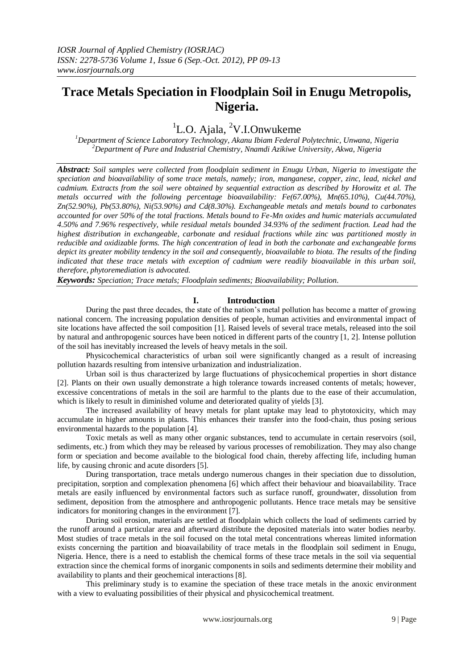# **Trace Metals Speciation in Floodplain Soil in Enugu Metropolis, Nigeria.**

# <sup>1</sup>L.O. Ajala, <sup>2</sup>V.I.Onwukeme

*<sup>1</sup>Department of Science Laboratory Technology, Akanu Ibiam Federal Polytechnic, Unwana, Nigeria <sup>2</sup>Department of Pure and Industrial Chemistry, Nnamdi Azikiwe University, Akwa, Nigeria*

*Abstract: Soil samples were collected from floodplain sediment in Enugu Urban, Nigeria to investigate the speciation and bioavailability of some trace metals, namely; iron, manganese, copper, zinc, lead, nickel and cadmium. Extracts from the soil were obtained by sequential extraction as described by Horowitz et al. The metals occurred with the following percentage bioavailability: Fe(67.00%), Mn(65.10%), Cu(44.70%), Zn(52.90%), Pb(53.80%), Ni(53.90%) and Cd(8.30%). Exchangeable metals and metals bound to carbonates accounted for over 50% of the total fractions. Metals bound to Fe-Mn oxides and humic materials accumulated 4.50% and 7.96% respectively, while residual metals bounded 34.93% of the sediment fraction. Lead had the highest distribution in exchangeable, carbonate and residual fractions while zinc was partitioned mostly in reducible and oxidizable forms. The high concentration of lead in both the carbonate and exchangeable forms depict its greater mobility tendency in the soil and consequently, bioavailable to biota. The results of the finding indicated that these trace metals with exception of cadmium were readily bioavailable in this urban soil, therefore, phytoremediation is advocated.* 

*Keywords: Speciation; Trace metals; Floodplain sediments; Bioavailability; Pollution*.

### **I. Introduction**

During the past three decades, the state of the nation's metal pollution has become a matter of growing national concern. The increasing population densities of people, human activities and environmental impact of site locations have affected the soil composition [1]. Raised levels of several trace metals, released into the soil by natural and anthropogenic sources have been noticed in different parts of the country [1, 2]. Intense pollution of the soil has inevitably increased the levels of heavy metals in the soil.

Physicochemical characteristics of urban soil were significantly changed as a result of increasing pollution hazards resulting from intensive urbanization and industrialization.

Urban soil is thus characterized by large fluctuations of physicochemical properties in short distance [2]. Plants on their own usually demonstrate a high tolerance towards increased contents of metals; however, excessive concentrations of metals in the soil are harmful to the plants due to the ease of their accumulation, which is likely to result in diminished volume and deteriorated quality of yields [3].

The increased availability of heavy metals for plant uptake may lead to phytotoxicity, which may accumulate in higher amounts in plants. This enhances their transfer into the food-chain, thus posing serious environmental hazards to the population [4].

Toxic metals as well as many other organic substances, tend to accumulate in certain reservoirs (soil, sediments, etc.) from which they may be released by various processes of remobilization. They may also change form or speciation and become available to the biological food chain, thereby affecting life, including human life, by causing chronic and acute disorders [5].

During transportation, trace metals undergo numerous changes in their speciation due to dissolution, precipitation, sorption and complexation phenomena [6] which affect their behaviour and bioavailability. Trace metals are easily influenced by environmental factors such as surface runoff, groundwater, dissolution from sediment, deposition from the atmosphere and anthropogenic pollutants. Hence trace metals may be sensitive indicators for monitoring changes in the environment [7].

During soil erosion, materials are settled at floodplain which collects the load of sediments carried by the runoff around a particular area and afterward distribute the deposited materials into water bodies nearby. Most studies of trace metals in the soil focused on the total metal concentrations whereas limited information exists concerning the partition and bioavailability of trace metals in the floodplain soil sediment in Enugu, Nigeria. Hence, there is a need to establish the chemical forms of these trace metals in the soil via sequential extraction since the chemical forms of inorganic components in soils and sediments determine their mobility and availability to plants and their geochemical interactions [8].

This preliminary study is to examine the speciation of these trace metals in the anoxic environment with a view to evaluating possibilities of their physical and physicochemical treatment.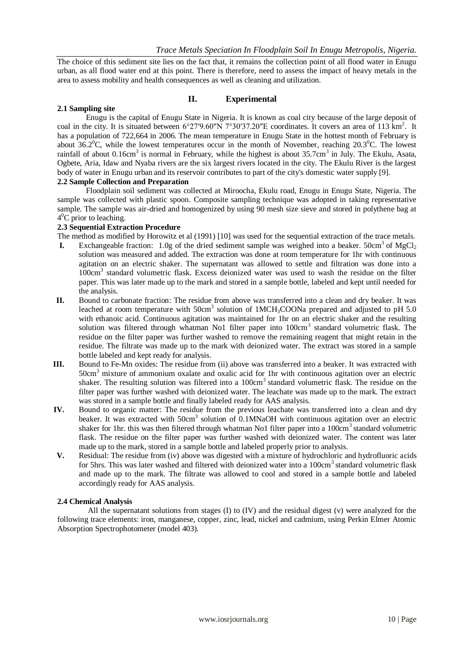The choice of this sediment site lies on the fact that, it remains the collection point of all flood water in Enugu urban, as all flood water end at this point. There is therefore, need to assess the impact of heavy metals in the area to assess mobility and health consequences as well as cleaning and utilization.

#### **II. Experimental**

#### **2.1 Sampling site**

Enugu is the capital of [Enugu State](http://en.wikipedia.org/wiki/Enugu_State) in [Nigeria.](http://en.wikipedia.org/wiki/Nigeria) It is known as coal city because of the large deposit of coal in the city. It is situated between  $6^{\circ}27'9.60''N$  [7°30′37.20″E](http://toolserver.org/~geohack/geohack.php?pagename=Enugu¶ms=6_27_9.60_N_7_30_37.20_E_) coordinates. It covers an area of 113 km<sup>2</sup>. It has a population of 722,664 in 2006. The mean temperature in Enugu State in the hottest month of February is about  $36.2^{\circ}$ C, while the lowest temperatures occur in the month of November, reaching  $20.3^{\circ}$ C. The lowest rainfall of about  $0.16 \text{cm}^3$  is normal in February, while the highest is about  $35.7 \text{cm}^3$  in July. The [Ekulu,](http://en.wikipedia.org/wiki/River_Ekulu) Asata, Ogbete, Aria, Idaw and Nyaba rivers are the six largest rivers located in the city. The Ekulu River is the largest body of water in Enugu urban and its reservoir contributes to part of the city's domestic water supply [9].

## **2.2 Sample Collection and Preparation**

Floodplain soil sediment was collected at Miroocha, Ekulu road, Enugu in Enugu State, Nigeria. The sample was collected with plastic spoon. Composite sampling technique was adopted in taking representative sample. The sample was air-dried and homogenized by using 90 mesh size sieve and stored in polythene bag at 4<sup>0</sup>C prior to leaching.

#### **2.3 Sequential Extraction Procedure**

The method as modified by Horowitz et al (1991) [10] was used for the sequential extraction of the trace metals.

- **I.** Exchangeable fraction:  $1.0g$  of the dried sediment sample was weighed into a beaker.  $50cm^3$  of MgCl<sub>2</sub> solution was measured and added. The extraction was done at room temperature for 1hr with continuous agitation on an electric shaker. The supernatant was allowed to settle and filtration was done into a 100cm<sup>3</sup> standard volumetric flask. Excess deionized water was used to wash the residue on the filter paper. This was later made up to the mark and stored in a sample bottle, labeled and kept until needed for the analysis.
- **II.** Bound to carbonate fraction: The residue from above was transferred into a clean and dry beaker. It was leached at room temperature with 50cm<sup>3</sup> solution of  $1MCH_3COONa$  prepared and adjusted to pH 5.0 with ethanoic acid. Continuous agitation was maintained for 1hr on an electric shaker and the resulting solution was filtered through whatman No1 filter paper into 100cm<sup>3</sup> standard volumetric flask. The residue on the filter paper was further washed to remove the remaining reagent that might retain in the residue. The filtrate was made up to the mark with deionized water. The extract was stored in a sample bottle labeled and kept ready for analysis.
- **III.** Bound to Fe-Mn oxides: The residue from (ii) above was transferred into a beaker. It was extracted with  $50 \text{cm}^3$  mixture of ammonium oxalate and oxalic acid for 1hr with continuous agitation over an electric shaker. The resulting solution was filtered into a  $100 \text{cm}^3$  standard volumetric flask. The residue on the filter paper was further washed with deionized water. The leachate was made up to the mark. The extract was stored in a sample bottle and finally labeled ready for AAS analysis.
- **IV.** Bound to organic matter: The residue from the previous leachate was transferred into a clean and dry beaker. It was extracted with 50cm<sup>3</sup> solution of 0.1MNaOH with continuous agitation over an electric shaker for 1hr. this was then filtered through whatman No1 filter paper into a  $100 \text{cm}^3$  standard volumetric flask. The residue on the filter paper was further washed with deionized water. The content was later made up to the mark, stored in a sample bottle and labeled properly prior to analysis.
- **V.** Residual: The residue from (iv) above was digested with a mixture of hydrochloric and hydrofluoric acids for 5hrs. This was later washed and filtered with deionized water into a 100cm<sup>3</sup> standard volumetric flask and made up to the mark. The filtrate was allowed to cool and stored in a sample bottle and labeled accordingly ready for AAS analysis.

### **2.4 Chemical Analysis**

All the supernatant solutions from stages (I) to (IV) and the residual digest (v) were analyzed for the following trace elements: iron, manganese, copper, zinc, lead, nickel and cadmium, using Perkin Elmer Atomic Absorption Spectrophotometer (model 403).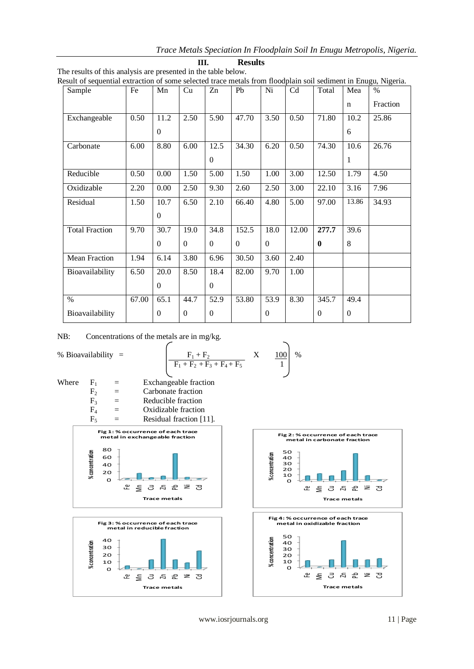*Trace Metals Speciation In Floodplain Soil In Enugu Metropolis, Nigeria.*

| Sample                | Fe    | Mn       | Cu             | Zn               | Pb       | Ni               | Cd    | Total    | Mea              | $\%$     |
|-----------------------|-------|----------|----------------|------------------|----------|------------------|-------|----------|------------------|----------|
|                       |       |          |                |                  |          |                  |       |          | $\mathbf n$      | Fraction |
| Exchangeable          | 0.50  | 11.2     | 2.50           | 5.90             | 47.70    | 3.50             | 0.50  | 71.80    | 10.2             | 25.86    |
|                       |       | $\Omega$ |                |                  |          |                  |       |          | 6                |          |
| Carbonate             | 6.00  | 8.80     | 6.00           | 12.5             | 34.30    | 6.20             | 0.50  | 74.30    | 10.6             | 26.76    |
|                       |       |          |                | $\mathbf{0}$     |          |                  |       |          | 1                |          |
| Reducible             | 0.50  | 0.00     | 1.50           | 5.00             | 1.50     | 1.00             | 3.00  | 12.50    | 1.79             | 4.50     |
| Oxidizable            | 2.20  | 0.00     | 2.50           | 9.30             | 2.60     | 2.50             | 3.00  | 22.10    | 3.16             | 7.96     |
| Residual              | 1.50  | 10.7     | 6.50           | 2.10             | 66.40    | 4.80             | 5.00  | 97.00    | 13.86            | 34.93    |
|                       |       | $\Omega$ |                |                  |          |                  |       |          |                  |          |
| <b>Total Fraction</b> | 9.70  | 30.7     | 19.0           | 34.8             | 152.5    | 18.0             | 12.00 | 277.7    | 39.6             |          |
|                       |       | $\Omega$ | $\theta$       | $\theta$         | $\theta$ | $\mathbf{0}$     |       | $\bf{0}$ | 8                |          |
| <b>Mean Fraction</b>  | 1.94  | 6.14     | 3.80           | 6.96             | 30.50    | 3.60             | 2.40  |          |                  |          |
| Bioavailability       | 6.50  | 20.0     | 8.50           | 18.4             | 82.00    | 9.70             | 1.00  |          |                  |          |
|                       |       | $\Omega$ |                | $\mathbf{0}$     |          |                  |       |          |                  |          |
| $\%$                  | 67.00 | 65.1     | 44.7           | 52.9             | 53.80    | 53.9             | 8.30  | 345.7    | 49.4             |          |
| Bioavailability       |       | $\theta$ | $\overline{0}$ | $\boldsymbol{0}$ |          | $\boldsymbol{0}$ |       | $\theta$ | $\boldsymbol{0}$ |          |

|                                                                | HH. | <b>Results</b> |
|----------------------------------------------------------------|-----|----------------|
| The results of this analysis are presented in the table below. |     |                |

Result of sequential extraction of some selected trace metals from floodplain soil sediment in Enugu, Nigeria.

NB: Concentrations of the metals are in mg/kg.

% Bioavailability = 
$$
\frac{F_1 + F_2}{F_1 + F_2 + F_3 + F_4 + F_5} \quad X = \frac{100}{1}
$$
 %

╲

Where  $F_1$  = Exchangeable fraction  $F_2$  = Carbonate fraction<br>  $F_3$  = Reducible fraction  $=$  Reducible fraction  $F_4$  = Oxidizable fraction









**Trace metals**

www.iosrjournals.org 11 | Page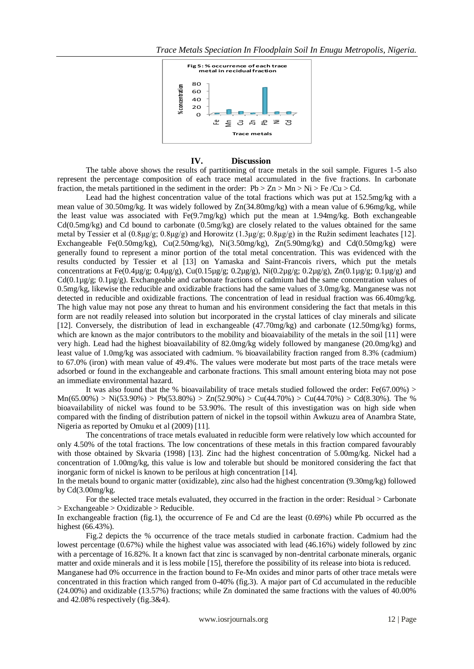

#### **IV. Discussion**

The table above shows the results of partitioning of trace metals in the soil sample. Figures 1-5 also represent the percentage composition of each trace metal accumulated in the five fractions. In carbonate fraction, the metals partitioned in the sediment in the order:  $Pb > Zn > Mn > Ni > Fe/Cu > Cd$ .

Lead had the highest concentration value of the total fractions which was put at 152.5mg/kg with a mean value of 30.50mg/kg. It was widely followed by Zn(34.80mg/kg) with a mean value of 6.96mg/kg, while the least value was associated with  $Fe(9.7mg/kg)$  which put the mean at 1.94mg/kg. Both exchangeable  $Cd(0.5mg/kg)$  and Cd bound to carbonate  $(0.5mg/kg)$  are closely related to the values obtained for the same metal by Tessier et al (0.8µg/g; 0.8µg/g) and Horowitz (1.3µg/g; 0.8µg/g) in the Ružin sediment leachates [12]. Exchangeable Fe(0.50mg/kg), Cu(2.50mg/kg), Ni(3.50mg/kg), Zn(5.90mg/kg) and Cd(0.50mg/kg) were generally found to represent a minor portion of the total metal concentration. This was evidenced with the results conducted by Tessier et al [13] on Yamaska and Saint-Francois rivers, which put the metals concentrations at Fe(0.4µg/g;  $0.4\mu\text{g/g}$ ), Cu(0.15µg/g;  $0.2\mu\text{g/g}$ ), Ni(0.2µg/g;  $0.2\mu\text{g/g}$ ), Zn(0.1µg/g;  $0.1\mu\text{g/g}$ ; and  $Cd(0.1\mu g/g; 0.1\mu g/g)$ . Exchangeable and carbonate fractions of cadmium had the same concentration values of 0.5mg/kg, likewise the reducible and oxidizable fractions had the same values of 3.0mg/kg. Manganese was not detected in reducible and oxidizable fractions. The concentration of lead in residual fraction was 66.40mg/kg. The high value may not pose any threat to human and his environment considering the fact that metals in this form are not readily released into solution but incorporated in the crystal lattices of clay minerals and silicate [12]. Conversely, the distribution of lead in exchangeable (47.70mg/kg) and carbonate (12.50mg/kg) forms, which are known as the major contributors to the mobility and bioavaiability of the metals in the soil [11] were very high. Lead had the highest bioavailability of 82.0mg/kg widely followed by manganese (20.0mg/kg) and least value of 1.0mg/kg was associated with cadmium. % bioavailability fraction ranged from 8.3% (cadmium) to 67.0% (iron) with mean value of 49.4%. The values were moderate but most parts of the trace metals were adsorbed or found in the exchangeable and carbonate fractions. This small amount entering biota may not pose an immediate environmental hazard.

It was also found that the % bioavailability of trace metals studied followed the order: Fe(67.00%) >  $Mn(65.00%) > Ni(53.90%) > Pb(53.80%) > Zn(52.90%) > Cu(44.70%) > Cu(44.70%) > Cd(8.30%).$  The % bioavailability of nickel was found to be 53.90%. The result of this investigation was on high side when compared with the finding of distribution pattern of nickel in the topsoil within Awkuzu area of Anambra State, Nigeria as reported by Omuku et al (2009) [11].

The concentrations of trace metals evaluated in reducible form were relatively low which accounted for only 4.50% of the total fractions. The low concentrations of these metals in this fraction compared favourably with those obtained by Skvaria (1998) [13]. Zinc had the highest concentration of 5.00mg/kg. Nickel had a concentration of 1.00mg/kg, this value is low and tolerable but should be monitored considering the fact that inorganic form of nickel is known to be perilous at high concentration [14].

In the metals bound to organic matter (oxidizable), zinc also had the highest concentration (9.30mg/kg) followed by Cd(3.00mg/kg.

For the selected trace metals evaluated, they occurred in the fraction in the order: Residual > Carbonate  $>$  Exchangeable  $>$  Oxidizable  $>$  Reducible.

In exchangeable fraction (fig.1), the occurrence of Fe and Cd are the least (0.69%) while Pb occurred as the highest (66.43%).

Fig.2 depicts the % occurrence of the trace metals studied in carbonate fraction. Cadmium had the lowest percentage (0.67%) while the highest value was associated with lead (46.16%) widely followed by zinc with a percentage of 16.82%. It a known fact that zinc is scanvaged by non-dentrital carbonate minerals, organic matter and oxide minerals and it is less mobile [15], therefore the possibility of its release into biota is reduced.

Manganese had 0% occurrence in the fraction bound to Fe-Mn oxides and minor parts of other trace metals were concentrated in this fraction which ranged from 0-40% (fig.3). A major part of Cd accumulated in the reducible (24.00%) and oxidizable (13.57%) fractions; while Zn dominated the same fractions with the values of 40.00% and 42.08% respectively (fig.3&4).